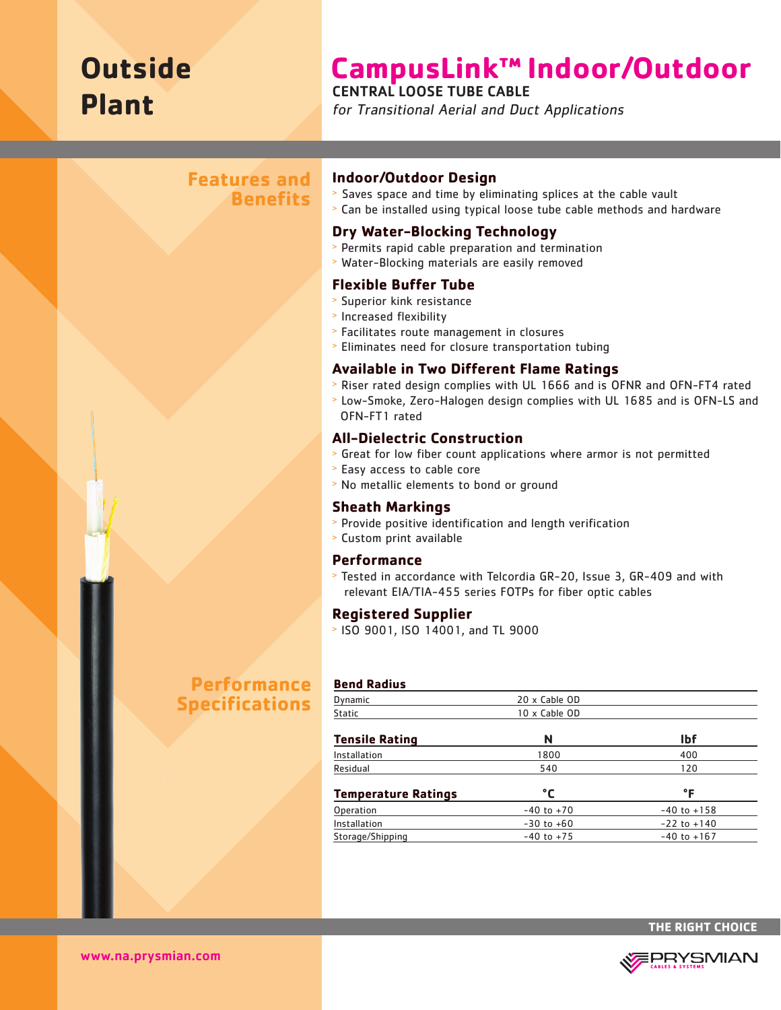# **Outside Plant**

# **CampusLink™ Indoor/Outdoor**

## CENTRAL LOOSE TUBE CABLE

for Transitional Aerial and Duct Applications

## **Features and Benefits**

#### **Indoor/Outdoor Design**

- > Saves space and time by eliminating splices at the cable vault
- <sup>&</sup>gt; Can be installed using typical loose tube cable methods and hardware

## **Dry Water-Blocking Technology**

- <sup>&</sup>gt; Permits rapid cable preparation and termination
- <sup>&</sup>gt; Water-Blocking materials are easily removed

## **Flexible Buffer Tube**

- <sup>&</sup>gt; Superior kink resistance
- <sup>&</sup>gt; Increased flexibility
- <sup>&</sup>gt; Facilitates route management in closures
- <sup>&</sup>gt; Eliminates need for closure transportation tubing

## **Available in Two Different Flame Ratings**

- <sup>&</sup>gt; Riser rated design complies with UL 1666 and is OFNR and OFN-FT4 rated
- <sup>&</sup>gt; Low-Smoke, Zero-Halogen design complies with UL 1685 and is OFN-LS and OFN-FT1 rated

## **All-Dielectric Construction**

- <sup>&</sup>gt; Great for low fiber count applications where armor is not permitted
- <sup>&</sup>gt; Easy access to cable core
- <sup>&</sup>gt; No metallic elements to bond or ground

#### **Sheath Markings**

- <sup>&</sup>gt; Provide positive identification and length verification
- <sup>&</sup>gt; Custom print available

#### **Performance**

**Bend Radius**

<sup>&</sup>gt; Tested in accordance with Telcordia GR-20, Issue 3, GR-409 and with relevant EIA/TIA-455 series FOTPs for fiber optic cables

#### **Registered Supplier**

<sup>&</sup>gt; ISO 9001, ISO 14001, and TL 9000

# **Performance Specifications**

| Dynamic                    | 20 x Cable OD  |                 |  |  |
|----------------------------|----------------|-----------------|--|--|
| <b>Static</b>              | 10 x Cable OD  |                 |  |  |
| Tensile Ratinq             | N              | <b>Ibf</b>      |  |  |
| Installation               | 1800           | 400             |  |  |
| Residual                   | 540            | 120             |  |  |
| <b>Temperature Ratings</b> | °C             | °F              |  |  |
| Operation                  | $-40$ to $+70$ | $-40$ to $+158$ |  |  |
| Installation               | $-30$ to $+60$ | $-22$ to $+140$ |  |  |
| Storage/Shipping           | $-40$ to $+75$ | $-40$ to $+167$ |  |  |





www.na.prysmian.com